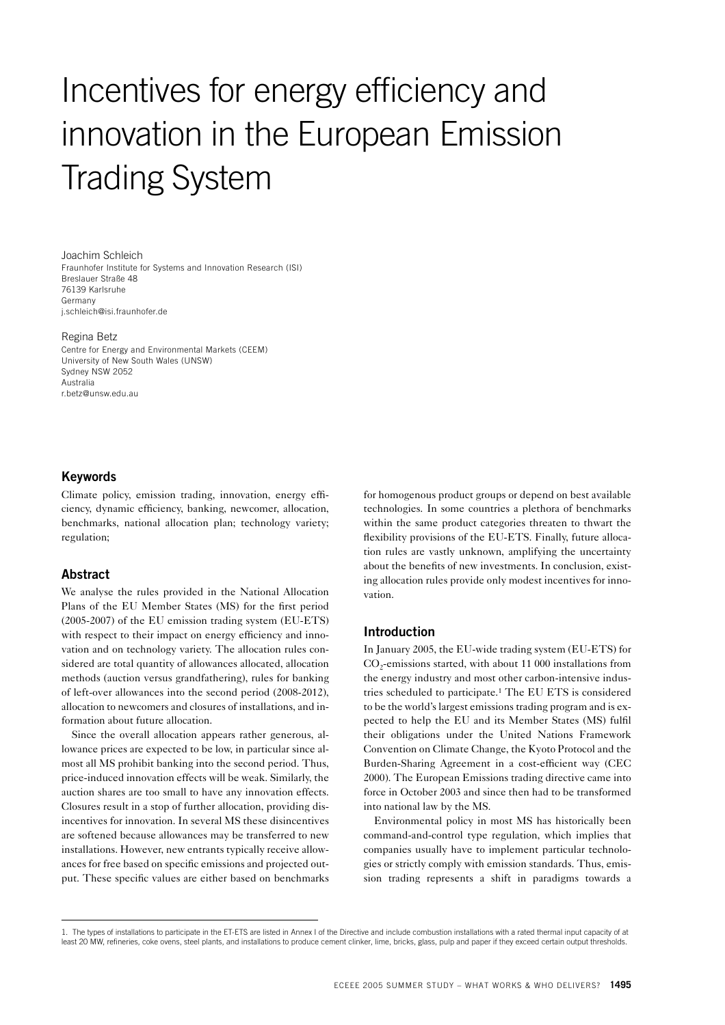# Incentives for energy efficiency and innovation in the European Emission Trading System

Joachim Schleich Fraunhofer Institute for Systems and Innovation Research (ISI) Breslauer Straße 48 76139 Karlsruhe Germany j.schleich@isi.fraunhofer.de

#### Regina Betz

Centre for Energy and Environmental Markets (CEEM) University of New South Wales (UNSW) Sydney NSW 2052 Australia r.betz@unsw.edu.au

## **Keywords**

Climate policy, emission trading, innovation, energy efficiency, dynamic efficiency, banking, newcomer, allocation, benchmarks, national allocation plan; technology variety; regulation;

## **Abstract**

We analyse the rules provided in the National Allocation Plans of the EU Member States (MS) for the first period (2005-2007) of the EU emission trading system (EU-ETS) with respect to their impact on energy efficiency and innovation and on technology variety. The allocation rules considered are total quantity of allowances allocated, allocation methods (auction versus grandfathering), rules for banking of left-over allowances into the second period (2008-2012), allocation to newcomers and closures of installations, and information about future allocation.

Since the overall allocation appears rather generous, allowance prices are expected to be low, in particular since almost all MS prohibit banking into the second period. Thus, price-induced innovation effects will be weak. Similarly, the auction shares are too small to have any innovation effects. Closures result in a stop of further allocation, providing disincentives for innovation. In several MS these disincentives are softened because allowances may be transferred to new installations. However, new entrants typically receive allowances for free based on specific emissions and projected output. These specific values are either based on benchmarks

for homogenous product groups or depend on best available technologies. In some countries a plethora of benchmarks within the same product categories threaten to thwart the flexibility provisions of the EU-ETS. Finally, future allocation rules are vastly unknown, amplifying the uncertainty about the benefits of new investments. In conclusion, existing allocation rules provide only modest incentives for innovation.

#### **Introduction**

In January 2005, the EU-wide trading system (EU-ETS) for CO<sub>2</sub>-emissions started, with about 11 000 installations from the energy industry and most other carbon-intensive industries scheduled to participate.1 The EU ETS is considered to be the world's largest emissions trading program and is expected to help the EU and its Member States (MS) fulfil their obligations under the United Nations Framework Convention on Climate Change, the Kyoto Protocol and the Burden-Sharing Agreement in a cost-efficient way (CEC 2000). The European Emissions trading directive came into force in October 2003 and since then had to be transformed into national law by the MS.

Environmental policy in most MS has historically been command-and-control type regulation, which implies that companies usually have to implement particular technologies or strictly comply with emission standards. Thus, emission trading represents a shift in paradigms towards a

<sup>1.</sup> The types of installations to participate in the ET-ETS are listed in Annex I of the Directive and include combustion installations with a rated thermal input capacity of at least 20 MW, refineries, coke ovens, steel plants, and installations to produce cement clinker, lime, bricks, glass, pulp and paper if they exceed certain output thresholds.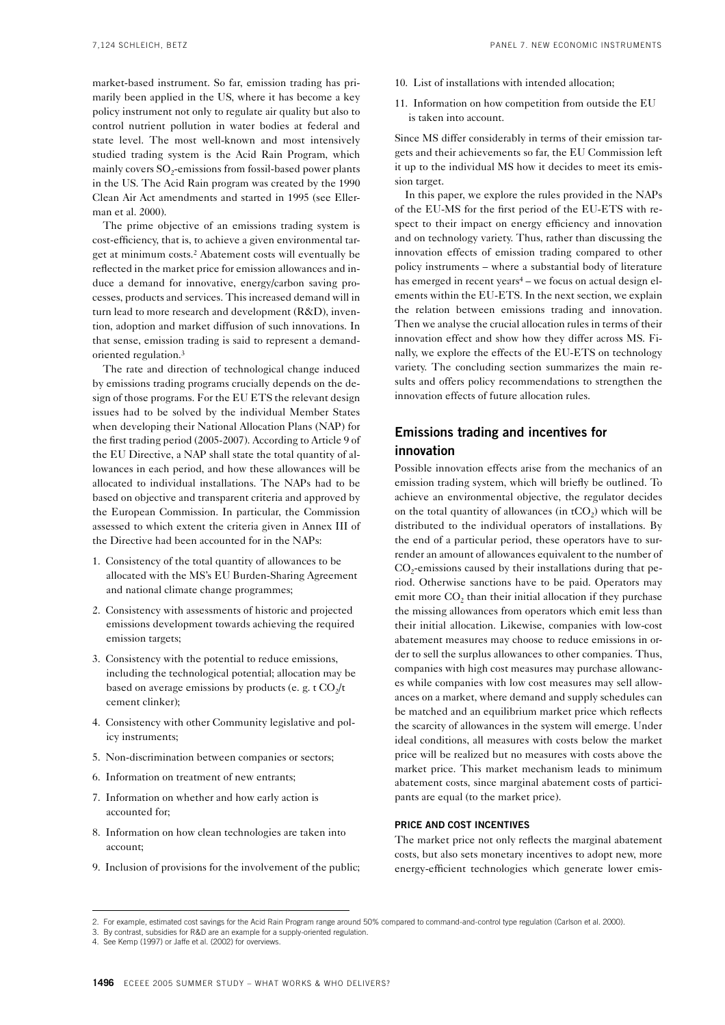market-based instrument. So far, emission trading has primarily been applied in the US, where it has become a key policy instrument not only to regulate air quality but also to control nutrient pollution in water bodies at federal and state level. The most well-known and most intensively studied trading system is the Acid Rain Program, which mainly covers  $SO<sub>2</sub>$ -emissions from fossil-based power plants in the US. The Acid Rain program was created by the 1990 Clean Air Act amendments and started in 1995 (see Ellerman et al. 2000).

The prime objective of an emissions trading system is cost-efficiency, that is, to achieve a given environmental target at minimum costs.2 Abatement costs will eventually be reflected in the market price for emission allowances and induce a demand for innovative, energy/carbon saving processes, products and services. This increased demand will in turn lead to more research and development (R&D), invention, adoption and market diffusion of such innovations. In that sense, emission trading is said to represent a demandoriented regulation.3

The rate and direction of technological change induced by emissions trading programs crucially depends on the design of those programs. For the EU ETS the relevant design issues had to be solved by the individual Member States when developing their National Allocation Plans (NAP) for the first trading period (2005-2007). According to Article 9 of the EU Directive, a NAP shall state the total quantity of allowances in each period, and how these allowances will be allocated to individual installations. The NAPs had to be based on objective and transparent criteria and approved by the European Commission. In particular, the Commission assessed to which extent the criteria given in Annex III of the Directive had been accounted for in the NAPs:

- 1. Consistency of the total quantity of allowances to be allocated with the MS's EU Burden-Sharing Agreement and national climate change programmes;
- 2. Consistency with assessments of historic and projected emissions development towards achieving the required emission targets;
- 3. Consistency with the potential to reduce emissions, including the technological potential; allocation may be based on average emissions by products (e. g. t  $CO<sub>2</sub>/t$ ) cement clinker);
- 4. Consistency with other Community legislative and policy instruments;
- 5. Non-discrimination between companies or sectors;
- 6. Information on treatment of new entrants;
- 7. Information on whether and how early action is accounted for;
- 8. Information on how clean technologies are taken into account;
- 9. Inclusion of provisions for the involvement of the public;
- 10. List of installations with intended allocation;
- 11. Information on how competition from outside the EU is taken into account.

Since MS differ considerably in terms of their emission targets and their achievements so far, the EU Commission left it up to the individual MS how it decides to meet its emission target.

In this paper, we explore the rules provided in the NAPs of the EU-MS for the first period of the EU-ETS with respect to their impact on energy efficiency and innovation and on technology variety. Thus, rather than discussing the innovation effects of emission trading compared to other policy instruments – where a substantial body of literature has emerged in recent years<sup>4</sup> – we focus on actual design elements within the EU-ETS. In the next section, we explain the relation between emissions trading and innovation. Then we analyse the crucial allocation rules in terms of their innovation effect and show how they differ across MS. Finally, we explore the effects of the EU-ETS on technology variety. The concluding section summarizes the main results and offers policy recommendations to strengthen the innovation effects of future allocation rules.

## **Emissions trading and incentives for innovation**

Possible innovation effects arise from the mechanics of an emission trading system, which will briefly be outlined. To achieve an environmental objective, the regulator decides on the total quantity of allowances (in  $tCO<sub>2</sub>$ ) which will be distributed to the individual operators of installations. By the end of a particular period, these operators have to surrender an amount of allowances equivalent to the number of  $CO<sub>2</sub>$ -emissions caused by their installations during that period. Otherwise sanctions have to be paid. Operators may emit more CO<sub>2</sub> than their initial allocation if they purchase the missing allowances from operators which emit less than their initial allocation. Likewise, companies with low-cost abatement measures may choose to reduce emissions in order to sell the surplus allowances to other companies. Thus, companies with high cost measures may purchase allowances while companies with low cost measures may sell allowances on a market, where demand and supply schedules can be matched and an equilibrium market price which reflects the scarcity of allowances in the system will emerge. Under ideal conditions, all measures with costs below the market price will be realized but no measures with costs above the market price. This market mechanism leads to minimum abatement costs, since marginal abatement costs of participants are equal (to the market price).

#### **PRICE AND COST INCENTIVES**

The market price not only reflects the marginal abatement costs, but also sets monetary incentives to adopt new, more energy-efficient technologies which generate lower emis-

<sup>2.</sup> For example, estimated cost savings for the Acid Rain Program range around 50% compared to command-and-control type regulation (Carlson et al. 2000).

<sup>3.</sup> By contrast, subsidies for R&D are an example for a supply-oriented regulation.

<sup>4.</sup> See Kemp (1997) or Jaffe et al. (2002) for overviews.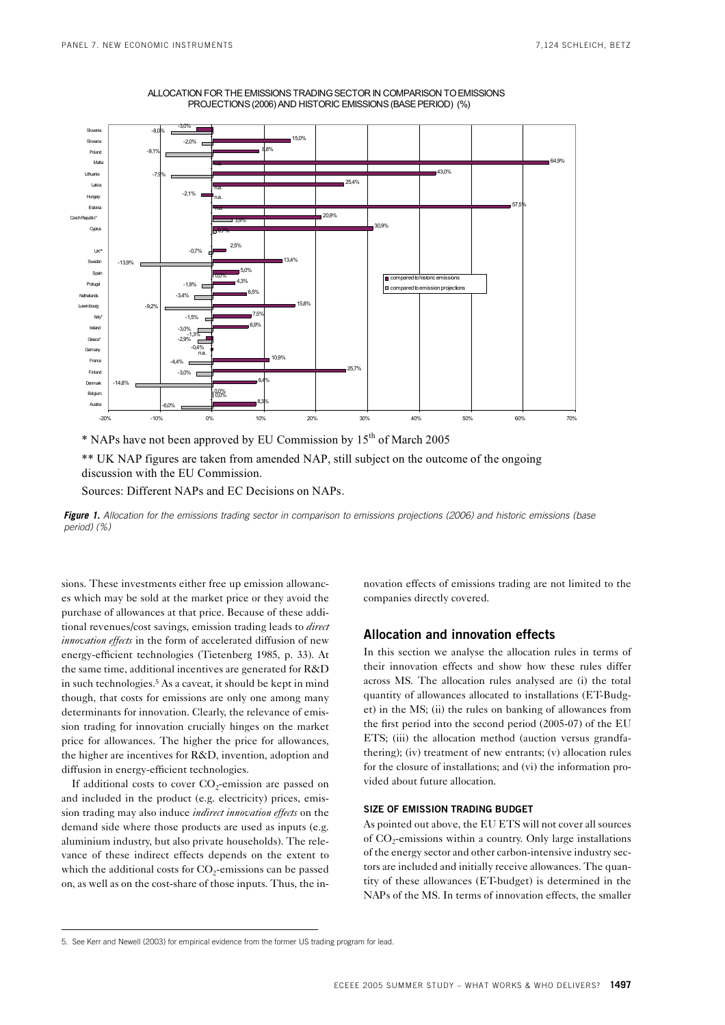

ALLOCATION FOR THE EMISSIONS TRADING SECTOR IN COMPARISON TO EMISSIONS PROJECTIONS (2006) AND HISTORIC EMISSIONS (BASE PERIOD) (%)

\* NAPs have not been approved by EU Commission by 15th of March 2005

 \*\* UK NAP figures are taken from amended NAP, still subject on the outcome of the ongoing discussion with the EU Commission.

Sources: Different NAPs and EC Decisions on NAPs.

*Figure 1. Allocation for the emissions trading sector in comparison to emissions projections (2006) and historic emissions (base period) (%)* 

sions. These investments either free up emission allowances which may be sold at the market price or they avoid the purchase of allowances at that price. Because of these additional revenues/cost savings, emission trading leads to *direct innovation effects* in the form of accelerated diffusion of new energy-efficient technologies (Tietenberg 1985, p. 33). At the same time, additional incentives are generated for R&D in such technologies.5 As a caveat, it should be kept in mind though, that costs for emissions are only one among many determinants for innovation. Clearly, the relevance of emission trading for innovation crucially hinges on the market price for allowances. The higher the price for allowances, the higher are incentives for R&D, invention, adoption and diffusion in energy-efficient technologies.

If additional costs to cover  $CO_2$ -emission are passed on and included in the product (e.g. electricity) prices, emission trading may also induce *indirect innovation effects* on the demand side where those products are used as inputs (e.g. aluminium industry, but also private households). The relevance of these indirect effects depends on the extent to which the additional costs for  $CO<sub>2</sub>$ -emissions can be passed on, as well as on the cost-share of those inputs. Thus, the innovation effects of emissions trading are not limited to the companies directly covered.

#### **Allocation and innovation effects**

In this section we analyse the allocation rules in terms of their innovation effects and show how these rules differ across MS. The allocation rules analysed are (i) the total quantity of allowances allocated to installations (ET-Budget) in the MS; (ii) the rules on banking of allowances from the first period into the second period (2005-07) of the EU ETS; (iii) the allocation method (auction versus grandfathering); (iv) treatment of new entrants; (v) allocation rules for the closure of installations; and (vi) the information provided about future allocation.

#### **SIZE OF EMISSION TRADING BUDGET**

As pointed out above, the EU ETS will not cover all sources of  $CO<sub>2</sub>$ -emissions within a country. Only large installations of the energy sector and other carbon-intensive industry sectors are included and initially receive allowances. The quantity of these allowances (ET-budget) is determined in the NAPs of the MS. In terms of innovation effects, the smaller

<sup>5.</sup> See Kerr and Newell (2003) for empirical evidence from the former US trading program for lead.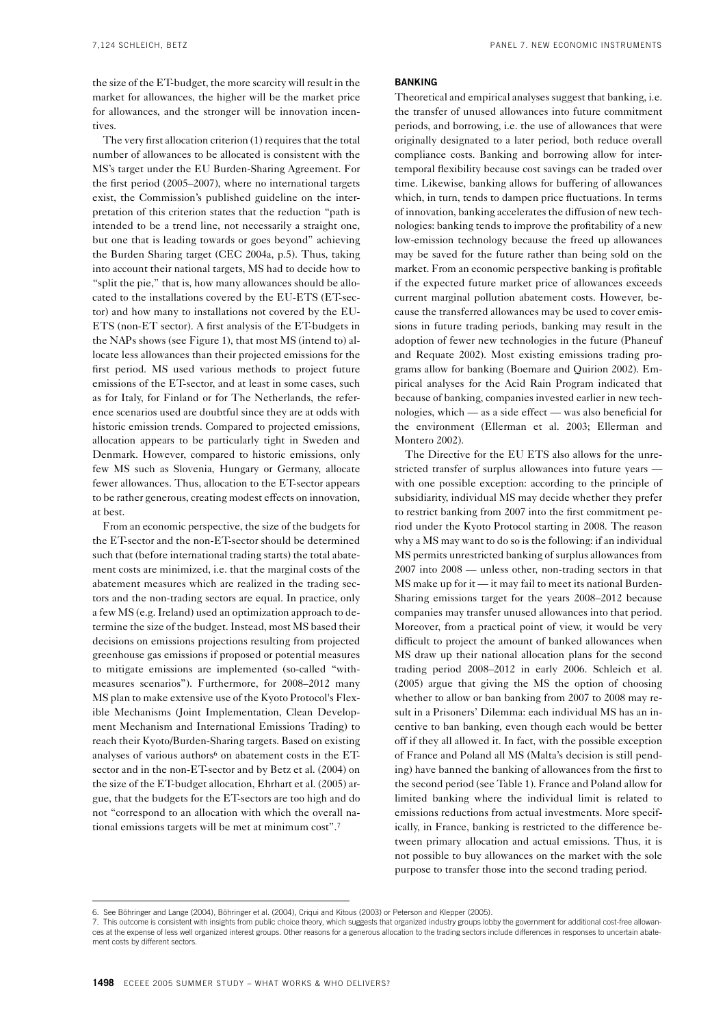the size of the ET-budget, the more scarcity will result in the market for allowances, the higher will be the market price for allowances, and the stronger will be innovation incentives.

The very first allocation criterion (1) requires that the total number of allowances to be allocated is consistent with the MS's target under the EU Burden-Sharing Agreement. For the first period (2005–2007), where no international targets exist, the Commission's published guideline on the interpretation of this criterion states that the reduction "path is intended to be a trend line, not necessarily a straight one, but one that is leading towards or goes beyond" achieving the Burden Sharing target (CEC 2004a, p.5). Thus, taking into account their national targets, MS had to decide how to "split the pie," that is, how many allowances should be allocated to the installations covered by the EU-ETS (ET-sector) and how many to installations not covered by the EU-ETS (non-ET sector). A first analysis of the ET-budgets in the NAPs shows (see Figure 1), that most MS (intend to) allocate less allowances than their projected emissions for the first period. MS used various methods to project future emissions of the ET-sector, and at least in some cases, such as for Italy, for Finland or for The Netherlands, the reference scenarios used are doubtful since they are at odds with historic emission trends. Compared to projected emissions, allocation appears to be particularly tight in Sweden and Denmark. However, compared to historic emissions, only few MS such as Slovenia, Hungary or Germany, allocate fewer allowances. Thus, allocation to the ET-sector appears to be rather generous, creating modest effects on innovation, at best.

From an economic perspective, the size of the budgets for the ET-sector and the non-ET-sector should be determined such that (before international trading starts) the total abatement costs are minimized, i.e. that the marginal costs of the abatement measures which are realized in the trading sectors and the non-trading sectors are equal. In practice, only a few MS (e.g. Ireland) used an optimization approach to determine the size of the budget. Instead, most MS based their decisions on emissions projections resulting from projected greenhouse gas emissions if proposed or potential measures to mitigate emissions are implemented (so-called "withmeasures scenarios"). Furthermore, for 2008–2012 many MS plan to make extensive use of the Kyoto Protocol's Flexible Mechanisms (Joint Implementation, Clean Development Mechanism and International Emissions Trading) to reach their Kyoto/Burden-Sharing targets. Based on existing analyses of various authors $6$  on abatement costs in the ETsector and in the non-ET-sector and by Betz et al. (2004) on the size of the ET-budget allocation, Ehrhart et al. (2005) argue, that the budgets for the ET-sectors are too high and do not "correspond to an allocation with which the overall national emissions targets will be met at minimum cost".7

#### **BANKING**

Theoretical and empirical analyses suggest that banking, i.e. the transfer of unused allowances into future commitment periods, and borrowing, i.e. the use of allowances that were originally designated to a later period, both reduce overall compliance costs. Banking and borrowing allow for intertemporal flexibility because cost savings can be traded over time. Likewise, banking allows for buffering of allowances which, in turn, tends to dampen price fluctuations. In terms of innovation, banking accelerates the diffusion of new technologies: banking tends to improve the profitability of a new low-emission technology because the freed up allowances may be saved for the future rather than being sold on the market. From an economic perspective banking is profitable if the expected future market price of allowances exceeds current marginal pollution abatement costs. However, because the transferred allowances may be used to cover emissions in future trading periods, banking may result in the adoption of fewer new technologies in the future (Phaneuf and Requate 2002). Most existing emissions trading programs allow for banking (Boemare and Quirion 2002). Empirical analyses for the Acid Rain Program indicated that because of banking, companies invested earlier in new technologies, which — as a side effect — was also beneficial for the environment (Ellerman et al. 2003; Ellerman and Montero 2002).

The Directive for the EU ETS also allows for the unrestricted transfer of surplus allowances into future years with one possible exception: according to the principle of subsidiarity, individual MS may decide whether they prefer to restrict banking from 2007 into the first commitment period under the Kyoto Protocol starting in 2008. The reason why a MS may want to do so is the following: if an individual MS permits unrestricted banking of surplus allowances from 2007 into 2008 — unless other, non-trading sectors in that MS make up for it — it may fail to meet its national Burden-Sharing emissions target for the years 2008–2012 because companies may transfer unused allowances into that period. Moreover, from a practical point of view, it would be very difficult to project the amount of banked allowances when MS draw up their national allocation plans for the second trading period 2008–2012 in early 2006. Schleich et al. (2005) argue that giving the MS the option of choosing whether to allow or ban banking from 2007 to 2008 may result in a Prisoners' Dilemma: each individual MS has an incentive to ban banking, even though each would be better off if they all allowed it. In fact, with the possible exception of France and Poland all MS (Malta's decision is still pending) have banned the banking of allowances from the first to the second period (see Table 1). France and Poland allow for limited banking where the individual limit is related to emissions reductions from actual investments. More specifically, in France, banking is restricted to the difference between primary allocation and actual emissions. Thus, it is not possible to buy allowances on the market with the sole purpose to transfer those into the second trading period.

<sup>6.</sup> See Böhringer and Lange (2004), Böhringer et al. (2004), Criqui and Kitous (2003) or Peterson and Klepper (2005).

<sup>7.</sup> This outcome is consistent with insights from public choice theory, which suggests that organized industry groups lobby the government for additional cost-free allowances at the expense of less well organized interest groups. Other reasons for a generous allocation to the trading sectors include differences in responses to uncertain abatement costs by different sectors.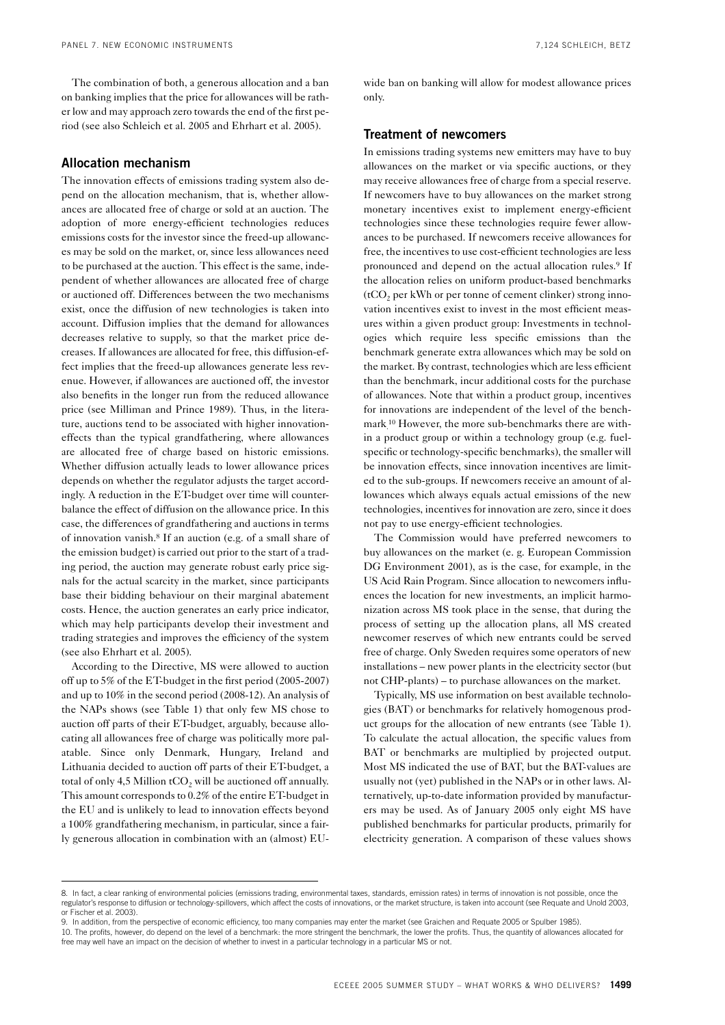The combination of both, a generous allocation and a ban on banking implies that the price for allowances will be rather low and may approach zero towards the end of the first period (see also Schleich et al. 2005 and Ehrhart et al. 2005).

## **Allocation mechanism**

The innovation effects of emissions trading system also depend on the allocation mechanism, that is, whether allowances are allocated free of charge or sold at an auction. The adoption of more energy-efficient technologies reduces emissions costs for the investor since the freed-up allowances may be sold on the market, or, since less allowances need to be purchased at the auction. This effect is the same, independent of whether allowances are allocated free of charge or auctioned off. Differences between the two mechanisms exist, once the diffusion of new technologies is taken into account. Diffusion implies that the demand for allowances decreases relative to supply, so that the market price decreases. If allowances are allocated for free, this diffusion-effect implies that the freed-up allowances generate less revenue. However, if allowances are auctioned off, the investor also benefits in the longer run from the reduced allowance price (see Milliman and Prince 1989). Thus, in the literature, auctions tend to be associated with higher innovationeffects than the typical grandfathering, where allowances are allocated free of charge based on historic emissions. Whether diffusion actually leads to lower allowance prices depends on whether the regulator adjusts the target accordingly. A reduction in the ET-budget over time will counterbalance the effect of diffusion on the allowance price. In this case, the differences of grandfathering and auctions in terms of innovation vanish.8 If an auction (e.g. of a small share of the emission budget) is carried out prior to the start of a trading period, the auction may generate robust early price signals for the actual scarcity in the market, since participants base their bidding behaviour on their marginal abatement costs. Hence, the auction generates an early price indicator, which may help participants develop their investment and trading strategies and improves the efficiency of the system (see also Ehrhart et al. 2005).

According to the Directive, MS were allowed to auction off up to 5% of the ET-budget in the first period (2005-2007) and up to 10% in the second period (2008-12). An analysis of the NAPs shows (see Table 1) that only few MS chose to auction off parts of their ET-budget, arguably, because allocating all allowances free of charge was politically more palatable. Since only Denmark, Hungary, Ireland and Lithuania decided to auction off parts of their ET-budget, a total of only 4,5 Million  $tCO<sub>2</sub>$  will be auctioned off annually. This amount corresponds to 0.2% of the entire ET-budget in the EU and is unlikely to lead to innovation effects beyond a 100% grandfathering mechanism, in particular, since a fairly generous allocation in combination with an (almost) EU-

wide ban on banking will allow for modest allowance prices only.

#### **Treatment of newcomers**

In emissions trading systems new emitters may have to buy allowances on the market or via specific auctions, or they may receive allowances free of charge from a special reserve. If newcomers have to buy allowances on the market strong monetary incentives exist to implement energy-efficient technologies since these technologies require fewer allowances to be purchased. If newcomers receive allowances for free, the incentives to use cost-efficient technologies are less pronounced and depend on the actual allocation rules.9 If the allocation relies on uniform product-based benchmarks  $(tCO<sub>2</sub>)$  per kWh or per tonne of cement clinker) strong innovation incentives exist to invest in the most efficient measures within a given product group: Investments in technologies which require less specific emissions than the benchmark generate extra allowances which may be sold on the market. By contrast, technologies which are less efficient than the benchmark, incur additional costs for the purchase of allowances. Note that within a product group, incentives for innovations are independent of the level of the benchmark. 10 However, the more sub-benchmarks there are within a product group or within a technology group (e.g. fuelspecific or technology-specific benchmarks), the smaller will be innovation effects, since innovation incentives are limited to the sub-groups. If newcomers receive an amount of allowances which always equals actual emissions of the new technologies, incentives for innovation are zero, since it does not pay to use energy-efficient technologies.

The Commission would have preferred newcomers to buy allowances on the market (e. g. European Commission DG Environment 2001), as is the case, for example, in the US Acid Rain Program. Since allocation to newcomers influences the location for new investments, an implicit harmonization across MS took place in the sense, that during the process of setting up the allocation plans, all MS created newcomer reserves of which new entrants could be served free of charge. Only Sweden requires some operators of new installations – new power plants in the electricity sector (but not CHP-plants) – to purchase allowances on the market.

Typically, MS use information on best available technologies (BAT) or benchmarks for relatively homogenous product groups for the allocation of new entrants (see Table 1). To calculate the actual allocation, the specific values from BAT or benchmarks are multiplied by projected output. Most MS indicated the use of BAT, but the BAT-values are usually not (yet) published in the NAPs or in other laws. Alternatively, up-to-date information provided by manufacturers may be used. As of January 2005 only eight MS have published benchmarks for particular products, primarily for electricity generation. A comparison of these values shows

<sup>8.</sup> In fact, a clear ranking of environmental policies (emissions trading, environmental taxes, standards, emission rates) in terms of innovation is not possible, once the regulator's response to diffusion or technology-spillovers, which affect the costs of innovations, or the market structure, is taken into account (see Requate and Unold 2003, or Fischer et al. 2003).

<sup>9.</sup> In addition, from the perspective of economic efficiency, too many companies may enter the market (see Graichen and Requate 2005 or Spulber 1985).

<sup>10.</sup> The profits, however, do depend on the level of a benchmark: the more stringent the benchmark, the lower the profits. Thus, the quantity of allowances allocated for free may well have an impact on the decision of whether to invest in a particular technology in a particular MS or not.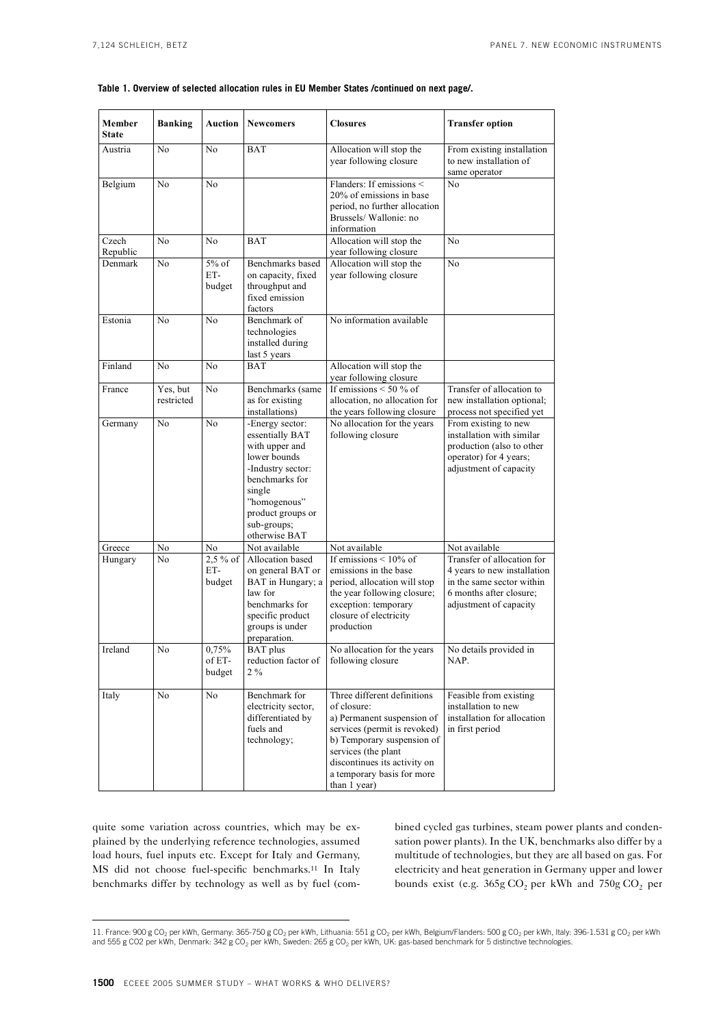#### **Table 1. Overview of selected allocation rules in EU Member States /continued on next page/.**

| Member<br><b>State</b> | <b>Banking</b>         | <b>Auction</b>              | <b>Newcomers</b>                                                                                                                                                                           | <b>Closures</b>                                                                                                                                                                                                                             | <b>Transfer option</b>                                                                                                                      |
|------------------------|------------------------|-----------------------------|--------------------------------------------------------------------------------------------------------------------------------------------------------------------------------------------|---------------------------------------------------------------------------------------------------------------------------------------------------------------------------------------------------------------------------------------------|---------------------------------------------------------------------------------------------------------------------------------------------|
| Austria                | No                     | No                          | BAT                                                                                                                                                                                        | Allocation will stop the<br>year following closure                                                                                                                                                                                          | From existing installation<br>to new installation of<br>same operator                                                                       |
| Belgium                | N <sub>0</sub>         | N <sub>0</sub>              |                                                                                                                                                                                            | Flanders: If emissions <<br>20% of emissions in base<br>period, no further allocation<br>Brussels/ Wallonie: no<br>information                                                                                                              | No                                                                                                                                          |
| Czech<br>Republic      | N <sub>0</sub>         | No                          | <b>BAT</b>                                                                                                                                                                                 | Allocation will stop the<br>year following closure                                                                                                                                                                                          | No                                                                                                                                          |
| Denmark                | No                     | $5\%$ of<br>ET-<br>budget   | Benchmarks based<br>on capacity, fixed<br>throughput and<br>fixed emission<br>factors                                                                                                      | Allocation will stop the<br>year following closure                                                                                                                                                                                          | No                                                                                                                                          |
| Estonia                | No                     | N <sub>0</sub>              | Benchmark of<br>technologies<br>installed during<br>last 5 years                                                                                                                           | No information available                                                                                                                                                                                                                    |                                                                                                                                             |
| Finland                | No                     | N <sub>0</sub>              | <b>BAT</b>                                                                                                                                                                                 | Allocation will stop the<br>year following closure                                                                                                                                                                                          |                                                                                                                                             |
| France                 | Yes, but<br>restricted | N <sub>0</sub>              | Benchmarks (same<br>as for existing<br>installations)                                                                                                                                      | If emissions $\leq 50\%$ of<br>allocation, no allocation for<br>the years following closure                                                                                                                                                 | Transfer of allocation to<br>new installation optional;<br>process not specified yet                                                        |
| Germany                | No                     | No                          | -Energy sector:<br>essentially BAT<br>with upper and<br>lower bounds<br>-Industry sector:<br>benchmarks for<br>single<br>"homogenous"<br>product groups or<br>sub-groups;<br>otherwise BAT | No allocation for the years<br>following closure                                                                                                                                                                                            | From existing to new<br>installation with similar<br>production (also to other<br>operator) for 4 years;<br>adjustment of capacity          |
| Greece                 | No                     | No                          | Not available                                                                                                                                                                              | Not available                                                                                                                                                                                                                               | Not available                                                                                                                               |
| Hungary                | No                     | $2,5\%$ of<br>ET-<br>budget | Allocation based<br>on general BAT or<br>BAT in Hungary; a<br>law for<br>benchmarks for<br>specific product<br>groups is under<br>preparation.                                             | If emissions $\leq 10\%$ of<br>emissions in the base<br>period, allocation will stop<br>the year following closure;<br>exception: temporary<br>closure of electricity<br>production                                                         | Transfer of allocation for<br>4 years to new installation<br>in the same sector within<br>6 months after closure:<br>adjustment of capacity |
| Ireland                | No                     | 0,75%<br>of ET-<br>budget   | BAT plus<br>reduction factor of<br>$2\%$                                                                                                                                                   | No allocation for the years<br>following closure                                                                                                                                                                                            | No details provided in<br>NAP.                                                                                                              |
| Italy                  | No                     | No                          | Benchmark for<br>electricity sector,<br>differentiated by<br>fuels and<br>technology;                                                                                                      | Three different definitions<br>of closure:<br>a) Permanent suspension of<br>services (permit is revoked)<br>b) Temporary suspension of<br>services (the plant<br>discontinues its activity on<br>a temporary basis for more<br>than 1 year) | Feasible from existing<br>installation to new<br>installation for allocation<br>in first period                                             |

quite some variation across countries, which may be explained by the underlying reference technologies, assumed load hours, fuel inputs etc. Except for Italy and Germany, MS did not choose fuel-specific benchmarks.11 In Italy benchmarks differ by technology as well as by fuel (combined cycled gas turbines, steam power plants and condensation power plants). In the UK, benchmarks also differ by a multitude of technologies, but they are all based on gas. For electricity and heat generation in Germany upper and lower bounds exist (e.g.  $365g \text{ CO}_2$  per kWh and  $750g \text{ CO}_2$  per

<sup>11.</sup> France: 900 g CO<sub>2</sub> per kWh, Germany: 365-750 g CO<sub>2</sub> per kWh, Lithuania: 551 g CO<sub>2</sub> per kWh, Belgium/Flanders: 500 g CO<sub>2</sub> per kWh, Italy: 396-1.531 g CO<sub>2</sub> per kWh and 555 g CO2 per kWh, Denmark: 342 g CO<sub>2</sub> per kWh, Sweden: 265 g CO<sub>2</sub> per kWh, UK: gas-based benchmark for 5 distinctive technologies.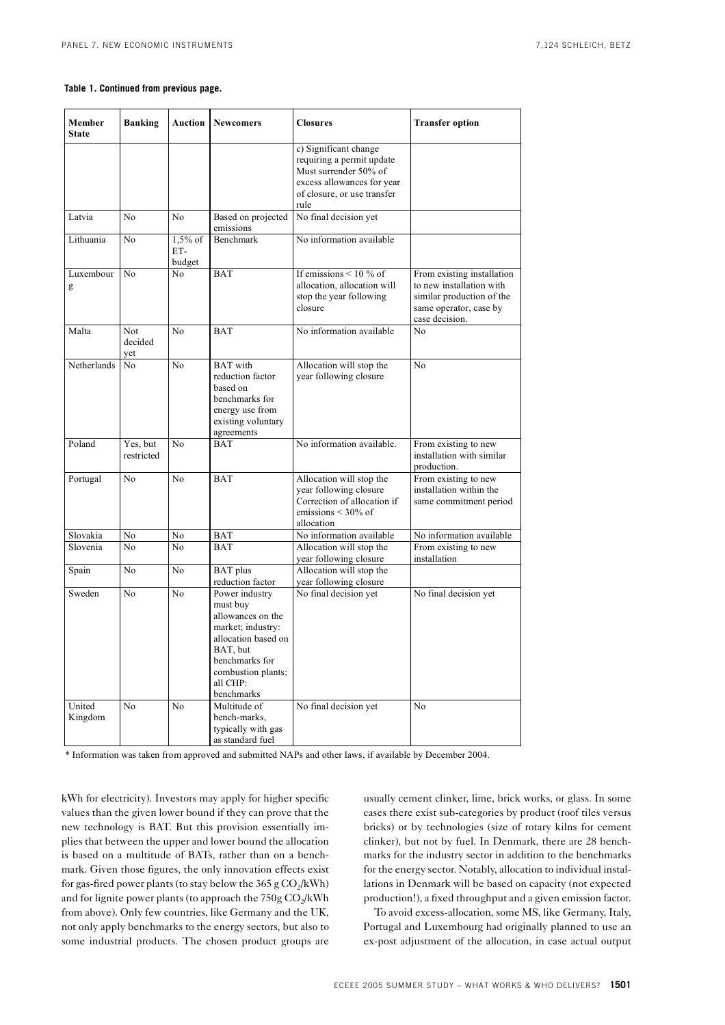#### **Table 1. Continued from previous page.**

| Member<br><b>State</b> | <b>Banking</b>               | <b>Auction</b>             | <b>Newcomers</b>                                                                                                                                                          | <b>Closures</b>                                                                                                                                  | <b>Transfer option</b>                                                                                                          |
|------------------------|------------------------------|----------------------------|---------------------------------------------------------------------------------------------------------------------------------------------------------------------------|--------------------------------------------------------------------------------------------------------------------------------------------------|---------------------------------------------------------------------------------------------------------------------------------|
|                        |                              |                            |                                                                                                                                                                           | c) Significant change<br>requiring a permit update<br>Must surrender 50% of<br>excess allowances for year<br>of closure, or use transfer<br>rule |                                                                                                                                 |
| Latvia                 | No                           | No                         | Based on projected<br>emissions                                                                                                                                           | No final decision yet                                                                                                                            |                                                                                                                                 |
| Lithuania              | No                           | $1,5%$ of<br>ET-<br>budget | <b>Benchmark</b>                                                                                                                                                          | No information available                                                                                                                         |                                                                                                                                 |
| Luxembour<br>g         | No                           | N <sub>0</sub>             | <b>BAT</b>                                                                                                                                                                | If emissions $\leq 10 \%$ of<br>allocation, allocation will<br>stop the year following<br>closure                                                | From existing installation<br>to new installation with<br>similar production of the<br>same operator, case by<br>case decision. |
| Malta                  | <b>Not</b><br>decided<br>yet | N <sub>0</sub>             | <b>BAT</b>                                                                                                                                                                | No information available                                                                                                                         | No                                                                                                                              |
| <b>Netherlands</b>     | N <sub>0</sub>               | N <sub>o</sub>             | <b>BAT</b> with<br>reduction factor<br>based on<br>benchmarks for<br>energy use from<br>existing voluntary<br>agreements                                                  | Allocation will stop the<br>year following closure                                                                                               | No                                                                                                                              |
| Poland                 | Yes, but<br>restricted       | N <sub>0</sub>             | BAT                                                                                                                                                                       | No information available.                                                                                                                        | From existing to new<br>installation with similar<br>production.                                                                |
| Portugal               | N <sub>0</sub>               | No                         | <b>BAT</b>                                                                                                                                                                | Allocation will stop the<br>year following closure<br>Correction of allocation if<br>emissions $\leq 30\%$ of<br>allocation                      | From existing to new<br>installation within the<br>same commitment period                                                       |
| Slovakia               | No                           | No                         | <b>BAT</b>                                                                                                                                                                | No information available                                                                                                                         | No information available                                                                                                        |
| Slovenia               | No                           | N <sub>o</sub>             | <b>BAT</b>                                                                                                                                                                | Allocation will stop the<br>year following closure                                                                                               | From existing to new<br>installation                                                                                            |
| Spain                  | No                           | No                         | <b>BAT</b> plus<br>reduction factor                                                                                                                                       | Allocation will stop the<br>year following closure                                                                                               |                                                                                                                                 |
| Sweden                 | N <sub>0</sub>               | No                         | Power industry<br>must buy<br>allowances on the<br>market; industry:<br>allocation based on<br>BAT, but<br>benchmarks for<br>combustion plants;<br>all CHP:<br>benchmarks | No final decision yet                                                                                                                            | No final decision yet                                                                                                           |
| United<br>Kingdom      | No                           | N <sub>o</sub>             | Multitude of<br>bench-marks,<br>typically with gas<br>as standard fuel                                                                                                    | No final decision yet                                                                                                                            | No                                                                                                                              |

\* Information was taken from approved and submitted NAPs and other laws, if available by December 2004.

kWh for electricity). Investors may apply for higher specific values than the given lower bound if they can prove that the new technology is BAT. But this provision essentially implies that between the upper and lower bound the allocation is based on a multitude of BATs, rather than on a benchmark. Given those figures, the only innovation effects exist for gas-fired power plants (to stay below the  $365 \text{ g CO}_2/\text{kWh}$ ) and for lignite power plants (to approach the  $750g \text{ CO}_{2}/kWh$ from above). Only few countries, like Germany and the UK, not only apply benchmarks to the energy sectors, but also to some industrial products. The chosen product groups are

usually cement clinker, lime, brick works, or glass. In some cases there exist sub-categories by product (roof tiles versus bricks) or by technologies (size of rotary kilns for cement clinker), but not by fuel. In Denmark, there are 28 benchmarks for the industry sector in addition to the benchmarks for the energy sector. Notably, allocation to individual installations in Denmark will be based on capacity (not expected production!), a fixed throughput and a given emission factor.

To avoid excess-allocation, some MS, like Germany, Italy, Portugal and Luxembourg had originally planned to use an ex-post adjustment of the allocation, in case actual output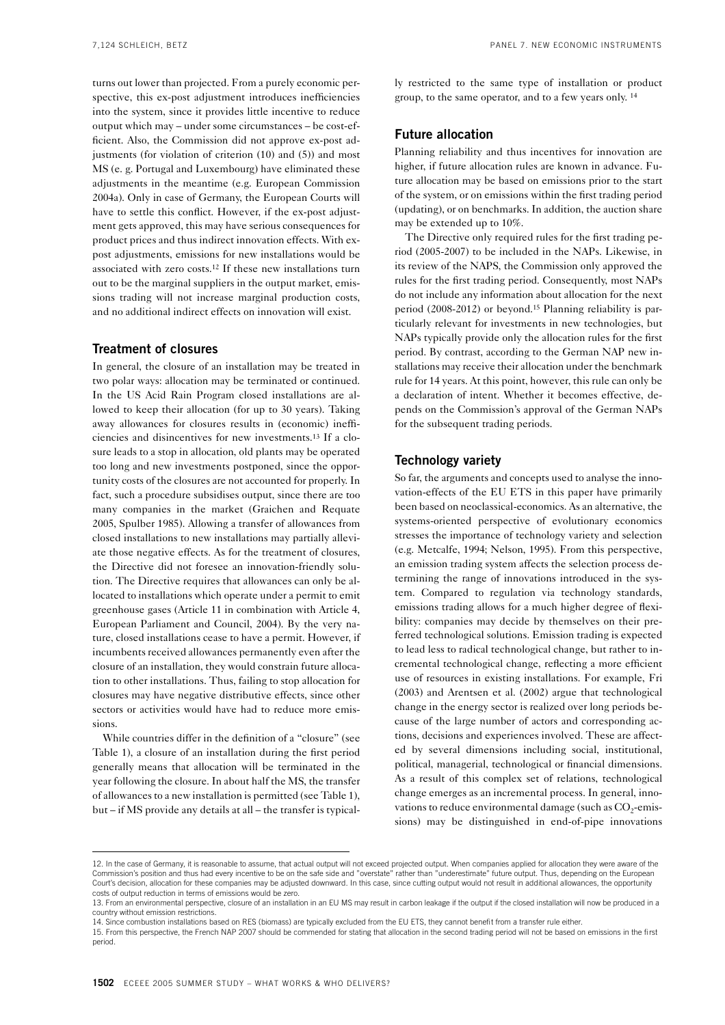turns out lower than projected. From a purely economic perspective, this ex-post adjustment introduces inefficiencies into the system, since it provides little incentive to reduce output which may – under some circumstances – be cost-efficient. Also, the Commission did not approve ex-post adjustments (for violation of criterion (10) and (5)) and most MS (e. g. Portugal and Luxembourg) have eliminated these adjustments in the meantime (e.g. European Commission 2004a). Only in case of Germany, the European Courts will have to settle this conflict. However, if the ex-post adjustment gets approved, this may have serious consequences for product prices and thus indirect innovation effects. With expost adjustments, emissions for new installations would be associated with zero costs.12 If these new installations turn out to be the marginal suppliers in the output market, emissions trading will not increase marginal production costs, and no additional indirect effects on innovation will exist.

## **Treatment of closures**

In general, the closure of an installation may be treated in two polar ways: allocation may be terminated or continued. In the US Acid Rain Program closed installations are allowed to keep their allocation (for up to 30 years). Taking away allowances for closures results in (economic) inefficiencies and disincentives for new investments.13 If a closure leads to a stop in allocation, old plants may be operated too long and new investments postponed, since the opportunity costs of the closures are not accounted for properly. In fact, such a procedure subsidises output, since there are too many companies in the market (Graichen and Requate 2005, Spulber 1985). Allowing a transfer of allowances from closed installations to new installations may partially alleviate those negative effects. As for the treatment of closures, the Directive did not foresee an innovation-friendly solution. The Directive requires that allowances can only be allocated to installations which operate under a permit to emit greenhouse gases (Article 11 in combination with Article 4, European Parliament and Council, 2004). By the very nature, closed installations cease to have a permit. However, if incumbents received allowances permanently even after the closure of an installation, they would constrain future allocation to other installations. Thus, failing to stop allocation for closures may have negative distributive effects, since other sectors or activities would have had to reduce more emissions.

While countries differ in the definition of a "closure" (see Table 1), a closure of an installation during the first period generally means that allocation will be terminated in the year following the closure. In about half the MS, the transfer of allowances to a new installation is permitted (see Table 1), but – if MS provide any details at all – the transfer is typically restricted to the same type of installation or product group, to the same operator, and to a few years only. 14

## **Future allocation**

Planning reliability and thus incentives for innovation are higher, if future allocation rules are known in advance. Future allocation may be based on emissions prior to the start of the system, or on emissions within the first trading period (updating), or on benchmarks. In addition, the auction share may be extended up to 10%.

The Directive only required rules for the first trading period (2005-2007) to be included in the NAPs. Likewise, in its review of the NAPS, the Commission only approved the rules for the first trading period. Consequently, most NAPs do not include any information about allocation for the next period (2008-2012) or beyond.15 Planning reliability is particularly relevant for investments in new technologies, but NAPs typically provide only the allocation rules for the first period. By contrast, according to the German NAP new installations may receive their allocation under the benchmark rule for 14 years. At this point, however, this rule can only be a declaration of intent. Whether it becomes effective, depends on the Commission's approval of the German NAPs for the subsequent trading periods.

## **Technology variety**

So far, the arguments and concepts used to analyse the innovation-effects of the EU ETS in this paper have primarily been based on neoclassical-economics. As an alternative, the systems-oriented perspective of evolutionary economics stresses the importance of technology variety and selection (e.g. Metcalfe, 1994; Nelson, 1995). From this perspective, an emission trading system affects the selection process determining the range of innovations introduced in the system. Compared to regulation via technology standards, emissions trading allows for a much higher degree of flexibility: companies may decide by themselves on their preferred technological solutions. Emission trading is expected to lead less to radical technological change, but rather to incremental technological change, reflecting a more efficient use of resources in existing installations. For example, Fri (2003) and Arentsen et al. (2002) argue that technological change in the energy sector is realized over long periods because of the large number of actors and corresponding actions, decisions and experiences involved. These are affected by several dimensions including social, institutional, political, managerial, technological or financial dimensions. As a result of this complex set of relations, technological change emerges as an incremental process. In general, innovations to reduce environmental damage (such as CO<sub>2</sub>-emissions) may be distinguished in end-of-pipe innovations

<sup>12.</sup> In the case of Germany, it is reasonable to assume, that actual output will not exceed projected output. When companies applied for allocation they were aware of the Commission's position and thus had every incentive to be on the safe side and "overstate" rather than "underestimate" future output. Thus, depending on the European Court's decision, allocation for these companies may be adjusted downward. In this case, since cutting output would not result in additional allowances, the opportunity costs of output reduction in terms of emissions would be zero.

<sup>13.</sup> From an environmental perspective, closure of an installation in an EU MS may result in carbon leakage if the output if the closed installation will now be produced in a country without emission restrictions.

<sup>14.</sup> Since combustion installations based on RES (biomass) are typically excluded from the EU ETS, they cannot benefit from a transfer rule either.

<sup>15.</sup> From this perspective, the French NAP 2007 should be commended for stating that allocation in the second trading period will not be based on emissions in the first period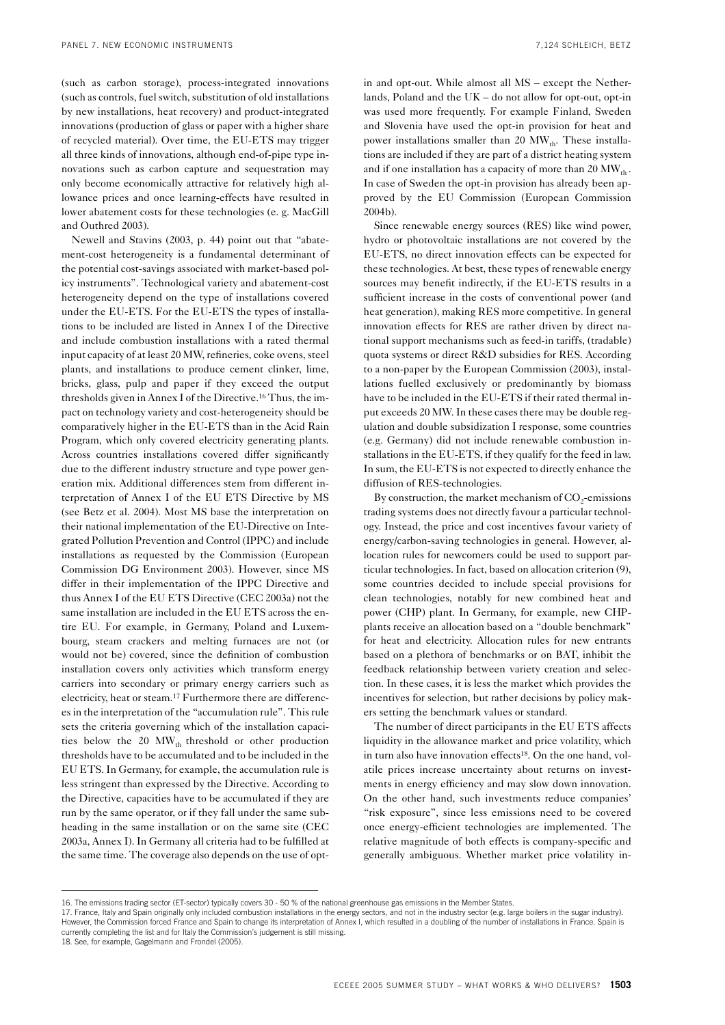(such as carbon storage), process-integrated innovations (such as controls, fuel switch, substitution of old installations by new installations, heat recovery) and product-integrated innovations (production of glass or paper with a higher share of recycled material). Over time, the EU-ETS may trigger all three kinds of innovations, although end-of-pipe type innovations such as carbon capture and sequestration may only become economically attractive for relatively high allowance prices and once learning-effects have resulted in lower abatement costs for these technologies (e. g. MacGill and Outhred 2003).

Newell and Stavins (2003, p. 44) point out that "abatement-cost heterogeneity is a fundamental determinant of the potential cost-savings associated with market-based policy instruments". Technological variety and abatement-cost heterogeneity depend on the type of installations covered under the EU-ETS. For the EU-ETS the types of installations to be included are listed in Annex I of the Directive and include combustion installations with a rated thermal input capacity of at least 20 MW, refineries, coke ovens, steel plants, and installations to produce cement clinker, lime, bricks, glass, pulp and paper if they exceed the output thresholds given in Annex I of the Directive.16 Thus, the impact on technology variety and cost-heterogeneity should be comparatively higher in the EU-ETS than in the Acid Rain Program, which only covered electricity generating plants. Across countries installations covered differ significantly due to the different industry structure and type power generation mix. Additional differences stem from different interpretation of Annex I of the EU ETS Directive by MS (see Betz et al. 2004). Most MS base the interpretation on their national implementation of the EU-Directive on Integrated Pollution Prevention and Control (IPPC) and include installations as requested by the Commission (European Commission DG Environment 2003). However, since MS differ in their implementation of the IPPC Directive and thus Annex I of the EU ETS Directive (CEC 2003a) not the same installation are included in the EU ETS across the entire EU. For example, in Germany, Poland and Luxembourg, steam crackers and melting furnaces are not (or would not be) covered, since the definition of combustion installation covers only activities which transform energy carriers into secondary or primary energy carriers such as electricity, heat or steam.17 Furthermore there are differences in the interpretation of the "accumulation rule". This rule sets the criteria governing which of the installation capacities below the 20  $MW_{th}$  threshold or other production thresholds have to be accumulated and to be included in the EU ETS. In Germany, for example, the accumulation rule is less stringent than expressed by the Directive. According to the Directive, capacities have to be accumulated if they are run by the same operator, or if they fall under the same subheading in the same installation or on the same site (CEC 2003a, Annex I). In Germany all criteria had to be fulfilled at the same time. The coverage also depends on the use of optin and opt-out. While almost all MS – except the Netherlands, Poland and the UK – do not allow for opt-out, opt-in was used more frequently. For example Finland, Sweden and Slovenia have used the opt-in provision for heat and power installations smaller than 20  $MW_{th}$ . These installations are included if they are part of a district heating system and if one installation has a capacity of more than  $20 \text{ MW}_{th}$ . In case of Sweden the opt-in provision has already been approved by the EU Commission (European Commission 2004b).

Since renewable energy sources (RES) like wind power, hydro or photovoltaic installations are not covered by the EU-ETS, no direct innovation effects can be expected for these technologies. At best, these types of renewable energy sources may benefit indirectly, if the EU-ETS results in a sufficient increase in the costs of conventional power (and heat generation), making RES more competitive. In general innovation effects for RES are rather driven by direct national support mechanisms such as feed-in tariffs, (tradable) quota systems or direct R&D subsidies for RES. According to a non-paper by the European Commission (2003), installations fuelled exclusively or predominantly by biomass have to be included in the EU-ETS if their rated thermal input exceeds 20 MW. In these cases there may be double regulation and double subsidization I response, some countries (e.g. Germany) did not include renewable combustion installations in the EU-ETS, if they qualify for the feed in law. In sum, the EU-ETS is not expected to directly enhance the diffusion of RES-technologies.

By construction, the market mechanism of  $CO<sub>2</sub>$ -emissions trading systems does not directly favour a particular technology. Instead, the price and cost incentives favour variety of energy/carbon-saving technologies in general. However, allocation rules for newcomers could be used to support particular technologies. In fact, based on allocation criterion (9), some countries decided to include special provisions for clean technologies, notably for new combined heat and power (CHP) plant. In Germany, for example, new CHPplants receive an allocation based on a "double benchmark" for heat and electricity. Allocation rules for new entrants based on a plethora of benchmarks or on BAT, inhibit the feedback relationship between variety creation and selection. In these cases, it is less the market which provides the incentives for selection, but rather decisions by policy makers setting the benchmark values or standard.

The number of direct participants in the EU ETS affects liquidity in the allowance market and price volatility, which in turn also have innovation effects18. On the one hand, volatile prices increase uncertainty about returns on investments in energy efficiency and may slow down innovation. On the other hand, such investments reduce companies' "risk exposure", since less emissions need to be covered once energy-efficient technologies are implemented. The relative magnitude of both effects is company-specific and generally ambiguous. Whether market price volatility in-

<sup>16.</sup> The emissions trading sector (ET-sector) typically covers 30 - 50 % of the national greenhouse gas emissions in the Member States.

<sup>17.</sup> France, Italy and Spain originally only included combustion installations in the energy sectors, and not in the industry sector (e.g. large boilers in the sugar industry). However, the Commission forced France and Spain to change its interpretation of Annex I, which resulted in a doubling of the number of installations in France. Spain is currently completing the list and for Italy the Commission's judgement is still missing.

<sup>18.</sup> See, for example, Gagelmann and Frondel (2005).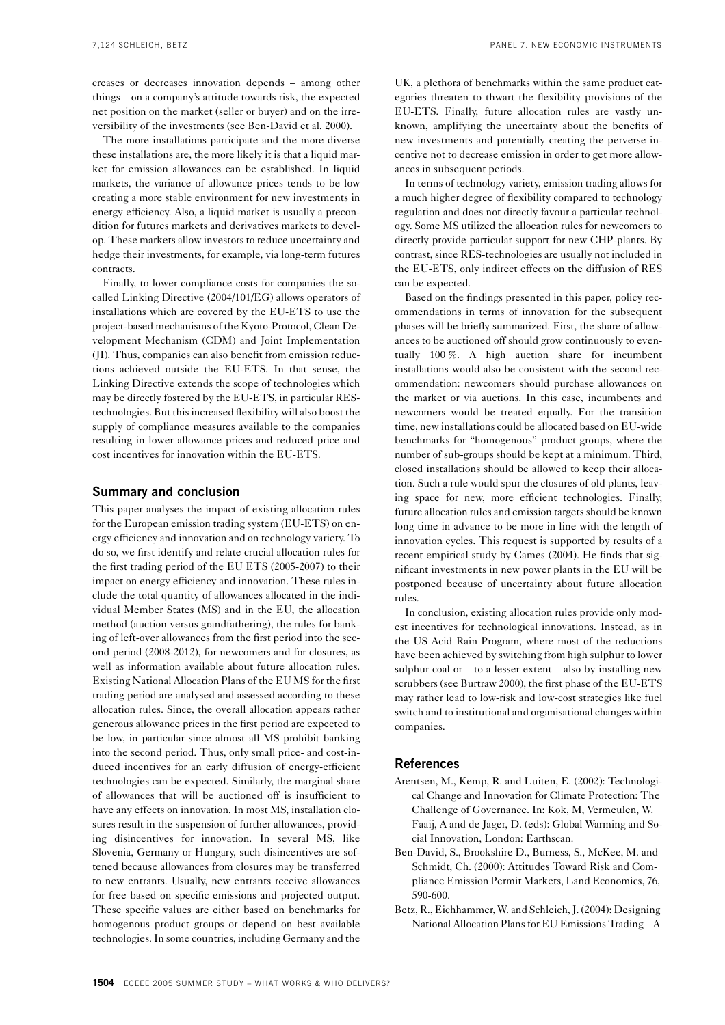creases or decreases innovation depends – among other things – on a company's attitude towards risk, the expected net position on the market (seller or buyer) and on the irreversibility of the investments (see Ben-David et al. 2000).

The more installations participate and the more diverse these installations are, the more likely it is that a liquid market for emission allowances can be established. In liquid markets, the variance of allowance prices tends to be low creating a more stable environment for new investments in energy efficiency. Also, a liquid market is usually a precondition for futures markets and derivatives markets to develop. These markets allow investors to reduce uncertainty and hedge their investments, for example, via long-term futures contracts.

Finally, to lower compliance costs for companies the socalled Linking Directive (2004/101/EG) allows operators of installations which are covered by the EU-ETS to use the project-based mechanisms of the Kyoto-Protocol, Clean Development Mechanism (CDM) and Joint Implementation (JI). Thus, companies can also benefit from emission reductions achieved outside the EU-ETS. In that sense, the Linking Directive extends the scope of technologies which may be directly fostered by the EU-ETS, in particular REStechnologies. But this increased flexibility will also boost the supply of compliance measures available to the companies resulting in lower allowance prices and reduced price and cost incentives for innovation within the EU-ETS.

#### **Summary and conclusion**

This paper analyses the impact of existing allocation rules for the European emission trading system (EU-ETS) on energy efficiency and innovation and on technology variety. To do so, we first identify and relate crucial allocation rules for the first trading period of the EU ETS (2005-2007) to their impact on energy efficiency and innovation. These rules include the total quantity of allowances allocated in the individual Member States (MS) and in the EU, the allocation method (auction versus grandfathering), the rules for banking of left-over allowances from the first period into the second period (2008-2012), for newcomers and for closures, as well as information available about future allocation rules. Existing National Allocation Plans of the EU MS for the first trading period are analysed and assessed according to these allocation rules. Since, the overall allocation appears rather generous allowance prices in the first period are expected to be low, in particular since almost all MS prohibit banking into the second period. Thus, only small price- and cost-induced incentives for an early diffusion of energy-efficient technologies can be expected. Similarly, the marginal share of allowances that will be auctioned off is insufficient to have any effects on innovation. In most MS, installation closures result in the suspension of further allowances, providing disincentives for innovation. In several MS, like Slovenia, Germany or Hungary, such disincentives are softened because allowances from closures may be transferred to new entrants. Usually, new entrants receive allowances for free based on specific emissions and projected output. These specific values are either based on benchmarks for homogenous product groups or depend on best available technologies. In some countries, including Germany and the

UK, a plethora of benchmarks within the same product categories threaten to thwart the flexibility provisions of the EU-ETS. Finally, future allocation rules are vastly unknown, amplifying the uncertainty about the benefits of new investments and potentially creating the perverse incentive not to decrease emission in order to get more allowances in subsequent periods.

In terms of technology variety, emission trading allows for a much higher degree of flexibility compared to technology regulation and does not directly favour a particular technology. Some MS utilized the allocation rules for newcomers to directly provide particular support for new CHP-plants. By contrast, since RES-technologies are usually not included in the EU-ETS, only indirect effects on the diffusion of RES can be expected.

Based on the findings presented in this paper, policy recommendations in terms of innovation for the subsequent phases will be briefly summarized. First, the share of allowances to be auctioned off should grow continuously to eventually 100 %. A high auction share for incumbent installations would also be consistent with the second recommendation: newcomers should purchase allowances on the market or via auctions. In this case, incumbents and newcomers would be treated equally. For the transition time, new installations could be allocated based on EU-wide benchmarks for "homogenous" product groups, where the number of sub-groups should be kept at a minimum. Third, closed installations should be allowed to keep their allocation. Such a rule would spur the closures of old plants, leaving space for new, more efficient technologies. Finally, future allocation rules and emission targets should be known long time in advance to be more in line with the length of innovation cycles. This request is supported by results of a recent empirical study by Cames (2004). He finds that significant investments in new power plants in the EU will be postponed because of uncertainty about future allocation rules.

In conclusion, existing allocation rules provide only modest incentives for technological innovations. Instead, as in the US Acid Rain Program, where most of the reductions have been achieved by switching from high sulphur to lower sulphur coal or  $-$  to a lesser extent  $-$  also by installing new scrubbers (see Burtraw 2000), the first phase of the EU-ETS may rather lead to low-risk and low-cost strategies like fuel switch and to institutional and organisational changes within companies.

#### **References**

- Arentsen, M., Kemp, R. and Luiten, E. (2002): Technological Change and Innovation for Climate Protection: The Challenge of Governance. In: Kok, M, Vermeulen, W. Faaij, A and de Jager, D. (eds): Global Warming and Social Innovation, London: Earthscan.
- Ben-David, S., Brookshire D., Burness, S., McKee, M. and Schmidt, Ch. (2000): Attitudes Toward Risk and Compliance Emission Permit Markets, Land Economics, 76, 590-600.
- Betz, R., Eichhammer, W. and Schleich, J. (2004): Designing National Allocation Plans for EU Emissions Trading – A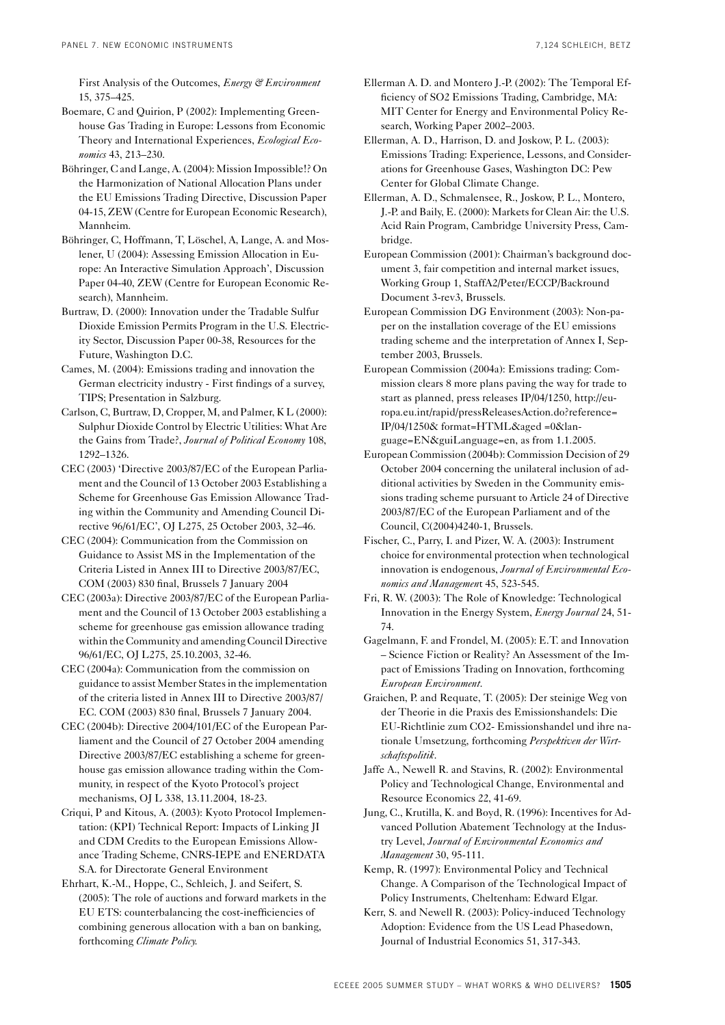First Analysis of the Outcomes, *Energy & Environment* 15, 375–425.

- Boemare, C and Quirion, P (2002): Implementing Greenhouse Gas Trading in Europe: Lessons from Economic Theory and International Experiences, *Ecological Economics* 43, 213–230.
- Böhringer, C and Lange, A. (2004): Mission Impossible!? On the Harmonization of National Allocation Plans under the EU Emissions Trading Directive, Discussion Paper 04-15, ZEW (Centre for European Economic Research), Mannheim.
- Böhringer, C, Hoffmann, T, Löschel, A, Lange, A. and Moslener, U (2004): Assessing Emission Allocation in Europe: An Interactive Simulation Approach', Discussion Paper 04-40, ZEW (Centre for European Economic Research), Mannheim.
- Burtraw, D. (2000): Innovation under the Tradable Sulfur Dioxide Emission Permits Program in the U.S. Electricity Sector, Discussion Paper 00-38, Resources for the Future, Washington D.C.
- Cames, M. (2004): Emissions trading and innovation the German electricity industry - First findings of a survey, TIPS; Presentation in Salzburg.
- Carlson, C, Burtraw, D, Cropper, M, and Palmer, K L (2000): Sulphur Dioxide Control by Electric Utilities: What Are the Gains from Trade?, *Journal of Political Economy* 108, 1292–1326.
- CEC (2003) 'Directive 2003/87/EC of the European Parliament and the Council of 13 October 2003 Establishing a Scheme for Greenhouse Gas Emission Allowance Trading within the Community and Amending Council Directive 96/61/EC', OJ L275, 25 October 2003, 32–46.
- CEC (2004): Communication from the Commission on Guidance to Assist MS in the Implementation of the Criteria Listed in Annex III to Directive 2003/87/EC, COM (2003) 830 final, Brussels 7 January 2004
- CEC (2003a): Directive 2003/87/EC of the European Parliament and the Council of 13 October 2003 establishing a scheme for greenhouse gas emission allowance trading within the Community and amending Council Directive 96/61/EC, OJ L275, 25.10.2003, 32-46.
- CEC (2004a): Communication from the commission on guidance to assist Member States in the implementation of the criteria listed in Annex III to Directive 2003/87/ EC. COM (2003) 830 final, Brussels 7 January 2004.
- CEC (2004b): Directive 2004/101/EC of the European Parliament and the Council of 27 October 2004 amending Directive 2003/87/EC establishing a scheme for greenhouse gas emission allowance trading within the Community, in respect of the Kyoto Protocol's project mechanisms, OJ L 338, 13.11.2004, 18-23.
- Criqui, P and Kitous, A. (2003): Kyoto Protocol Implementation: (KPI) Technical Report: Impacts of Linking JI and CDM Credits to the European Emissions Allowance Trading Scheme, CNRS-IEPE and ENERDATA S.A. for Directorate General Environment
- Ehrhart, K.-M., Hoppe, C., Schleich, J. and Seifert, S. (2005): The role of auctions and forward markets in the EU ETS: counterbalancing the cost-inefficiencies of combining generous allocation with a ban on banking, forthcoming *Climate Policy*.
- Ellerman A. D. and Montero J.-P. (2002): The Temporal Efficiency of SO2 Emissions Trading, Cambridge, MA: MIT Center for Energy and Environmental Policy Research, Working Paper 2002–2003.
- Ellerman, A. D., Harrison, D. and Joskow, P. L. (2003): Emissions Trading: Experience, Lessons, and Considerations for Greenhouse Gases, Washington DC: Pew Center for Global Climate Change.
- Ellerman, A. D., Schmalensee, R., Joskow, P. L., Montero, J.-P. and Baily, E. (2000): Markets for Clean Air: the U.S. Acid Rain Program, Cambridge University Press, Cambridge.
- European Commission (2001): Chairman's background document 3, fair competition and internal market issues, Working Group 1, StaffA2/Peter/ECCP/Backround Document 3-rev3, Brussels.
- European Commission DG Environment (2003): Non-paper on the installation coverage of the EU emissions trading scheme and the interpretation of Annex I, September 2003, Brussels.
- European Commission (2004a): Emissions trading: Commission clears 8 more plans paving the way for trade to start as planned, press releases IP/04/1250, http://europa.eu.int/rapid/pressReleasesAction.do?reference= IP/04/1250& format=HTML&aged =0&language=EN&guiLanguage=en, as from 1.1.2005.
- European Commission (2004b): Commission Decision of 29 October 2004 concerning the unilateral inclusion of additional activities by Sweden in the Community emissions trading scheme pursuant to Article 24 of Directive 2003/87/EC of the European Parliament and of the Council, C(2004)4240-1, Brussels.
- Fischer, C., Parry, I. and Pizer, W. A. (2003): Instrument choice for environmental protection when technological innovation is endogenous, *Journal of Environmental Economics and Managemen*t 45, 523-545.
- Fri, R. W. (2003): The Role of Knowledge: Technological Innovation in the Energy System, *Energy Journal* 24, 51- 74.
- Gagelmann, F. and Frondel, M. (2005): E.T. and Innovation – Science Fiction or Reality? An Assessment of the Impact of Emissions Trading on Innovation, forthcoming *European Environment*.
- Graichen, P. and Requate, T. (2005): Der steinige Weg von der Theorie in die Praxis des Emissionshandels: Die EU-Richtlinie zum CO2- Emissionshandel und ihre nationale Umsetzung, forthcoming *Perspektiven der Wirtschaftspolitik*.
- Jaffe A., Newell R. and Stavins, R. (2002): Environmental Policy and Technological Change, Environmental and Resource Economics 22, 41-69.
- Jung, C., Krutilla, K. and Boyd, R. (1996): Incentives for Advanced Pollution Abatement Technology at the Industry Level, *Journal of Environmental Economics and Management* 30, 95-111.
- Kemp, R. (1997): Environmental Policy and Technical Change. A Comparison of the Technological Impact of Policy Instruments, Cheltenham: Edward Elgar.
- Kerr, S. and Newell R. (2003): Policy-induced Technology Adoption: Evidence from the US Lead Phasedown, Journal of Industrial Economics 51, 317-343.